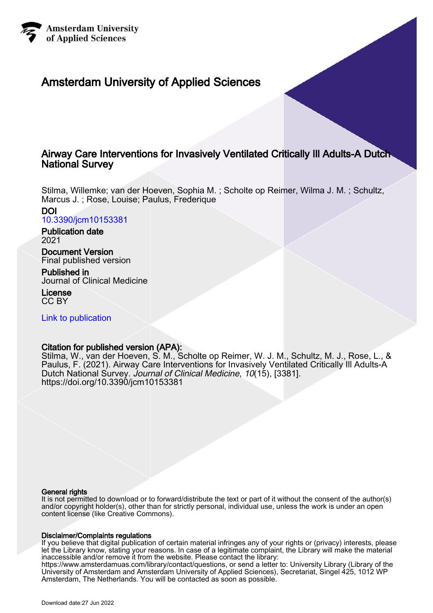

# Amsterdam University of Applied Sciences

# Airway Care Interventions for Invasively Ventilated Critically Ill Adults-A Dutch National Survey

Stilma, Willemke; van der Hoeven, Sophia M. ; Scholte op Reimer, Wilma J. M. ; Schultz, Marcus J. ; Rose, Louise; Paulus, Frederique

DOI [10.3390/jcm10153381](https://doi.org/10.3390/jcm10153381)

Publication date 2021

Document Version Final published version

Published in Journal of Clinical Medicine

License CC BY

[Link to publication](https://research.hva.nl/en/publications/bc3969fd-c359-41b1-82c9-7355e76f7454)

# Citation for published version (APA):

Stilma, W., van der Hoeven, S. M., Scholte op Reimer, W. J. M., Schultz, M. J., Rose, L., & Paulus, F. (2021). Airway Care Interventions for Invasively Ventilated Critically Ill Adults-A Dutch National Survey. Journal of Clinical Medicine, 10(15), [3381]. <https://doi.org/10.3390/jcm10153381>

## General rights

It is not permitted to download or to forward/distribute the text or part of it without the consent of the author(s) and/or copyright holder(s), other than for strictly personal, individual use, unless the work is under an open content license (like Creative Commons).

## Disclaimer/Complaints regulations

If you believe that digital publication of certain material infringes any of your rights or (privacy) interests, please let the Library know, stating your reasons. In case of a legitimate complaint, the Library will make the material inaccessible and/or remove it from the website. Please contact the library: https://www.amsterdamuas.com/library/contact/questions, or send a letter to: University Library (Library of the University of Amsterdam and Amsterdam University of Applied Sciences), Secretariat, Singel 425, 1012 WP Amsterdam, The Netherlands. You will be contacted as soon as possible.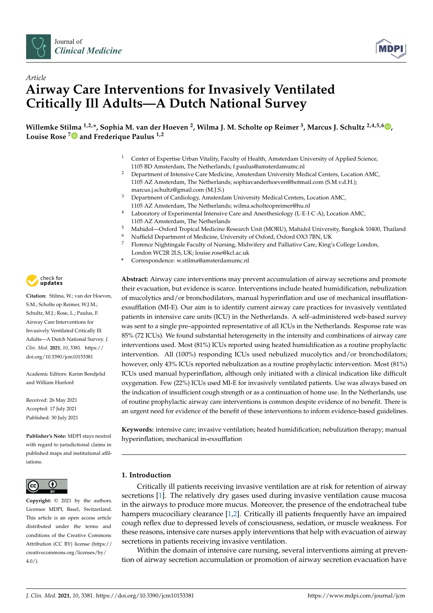



# *Article* **Airway Care Interventions for Invasively Ventilated Critically Ill Adults—A Dutch National Survey**

 $\blacksquare$ Willemke Stilma  $^{1,2,*}$  $^{1,2,*}$  $^{1,2,*}$ , Sophia M. van der Hoeven  $^2$ , Wilma J. M. Scholte op Reimer  $^3$ , Marcus J. Schultz  $^{2,4,5,6}$   $\blacksquare$ **Louise Rose [7](https://orcid.org/0000-0003-1700-3972) and Frederique Paulus 1,2**

- <sup>1</sup> Center of Expertise Urban Vitality, Faculty of Health, Amsterdam University of Applied Science, 1105 BD Amsterdam, The Netherlands; f.paulus@amsterdamumc.nl
- <sup>2</sup> Department of Intensive Care Medicine, Amsterdam University Medical Centers, Location AMC, 1105 AZ Amsterdam, The Netherlands; sophiavanderhoeven@hotmail.com (S.M.v.d.H.); marcus.j.schultz@gmail.com (M.J.S.)
- <sup>3</sup> Department of Cardiology, Amsterdam University Medical Centers, Location AMC, 1105 AZ Amsterdam, The Netherlands; wilma.scholteopreimer@hu.nl
- <sup>4</sup> Laboratory of Experimental Intensive Care and Anesthesiology (L·E·I·C·A), Location AMC, 1105 AZ Amsterdam, The Netherlands
- <sup>5</sup> Mahidol—Oxford Tropical Medicine Research Unit (MORU), Mahidol University, Bangkok 10400, Thailand
- <sup>6</sup> Nuffield Department of Medicine, University of Oxford, Oxford OX3 7BN, UK<br><sup>7</sup> Elementa Nichtingala Faculty of Nursing, Midwifery and Palliative Care, King's
- <sup>7</sup> Florence Nightingale Faculty of Nursing, Midwifery and Palliative Care, King's College London, London WC2R 2LS, UK; louise.rose@kcl.ac.uk
- **\*** Correspondence: w.stilma@amsterdamumc.nl

**Abstract:** Airway care interventions may prevent accumulation of airway secretions and promote their evacuation, but evidence is scarce. Interventions include heated humidification, nebulization of mucolytics and/or bronchodilators, manual hyperinflation and use of mechanical insufflationexsufflation (MI-E). Our aim is to identify current airway care practices for invasively ventilated patients in intensive care units (ICU) in the Netherlands. A self–administered web-based survey was sent to a single pre–appointed representative of all ICUs in the Netherlands. Response rate was 85% (72 ICUs). We found substantial heterogeneity in the intensity and combinations of airway care interventions used. Most (81%) ICUs reported using heated humidification as a routine prophylactic intervention. All (100%) responding ICUs used nebulized mucolytics and/or bronchodilators; however, only 43% ICUs reported nebulization as a routine prophylactic intervention. Most (81%) ICUs used manual hyperinflation, although only initiated with a clinical indication like difficult oxygenation. Few (22%) ICUs used MI-E for invasively ventilated patients. Use was always based on the indication of insufficient cough strength or as a continuation of home use. In the Netherlands, use of routine prophylactic airway care interventions is common despite evidence of no benefit. There is an urgent need for evidence of the benefit of these interventions to inform evidence-based guidelines.

**Keywords:** intensive care; invasive ventilation; heated humidification; nebulization therapy; manual hyperinflation; mechanical in-exsufflation

## **1. Introduction**

Critically ill patients receiving invasive ventilation are at risk for retention of airway secretions [\[1\]](#page-9-0). The relatively dry gases used during invasive ventilation cause mucosa in the airways to produce more mucus. Moreover, the presence of the endotracheal tube hampers mucociliary clearance [\[1](#page-9-0)[,2\]](#page-9-1). Critically ill patients frequently have an impaired cough reflex due to depressed levels of consciousness, sedation, or muscle weakness. For these reasons, intensive care nurses apply interventions that help with evacuation of airway secretions in patients receiving invasive ventilation.

Within the domain of intensive care nursing, several interventions aiming at prevention of airway secretion accumulation or promotion of airway secretion evacuation have



**Citation:** Stilma, W.; van der Hoeven, S.M.; Scholte op Reimer, W.J.M.; Schultz, M.J.; Rose, L.; Paulus, F. Airway Care Interventions for Invasively Ventilated Critically Ill Adults—A Dutch National Survey. *J. Clin. Med.* **2021**, *10*, 3381. [https://](https://doi.org/10.3390/jcm10153381) [doi.org/10.3390/jcm10153381](https://doi.org/10.3390/jcm10153381)

Academic Editors: Karim Bendjelid and William Hurford

Received: 26 May 2021 Accepted: 17 July 2021 Published: 30 July 2021

**Publisher's Note:** MDPI stays neutral with regard to jurisdictional claims in published maps and institutional affiliations.



**Copyright:** © 2021 by the authors. Licensee MDPI, Basel, Switzerland. This article is an open access article distributed under the terms and conditions of the Creative Commons Attribution (CC BY) license (https:/[/](https://creativecommons.org/licenses/by/4.0/) [creativecommons.org/licenses/by/](https://creativecommons.org/licenses/by/4.0/)  $4.0/$ ).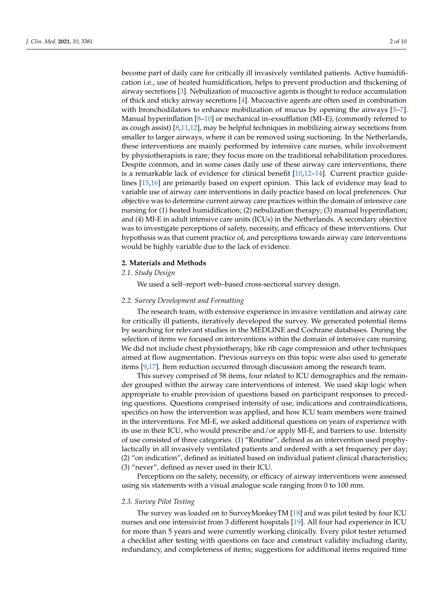become part of daily care for critically ill invasively ventilated patients. Active humidification i.e., use of heated humidification, helps to prevent production and thickening of airway secretions [\[3\]](#page-9-2). Nebulization of mucoactive agents is thought to reduce accumulation of thick and sticky airway secretions [\[4\]](#page-9-3). Mucoactive agents are often used in combination with bronchodilators to enhance mobilization of mucus by opening the airways [\[5](#page-9-4)[–7\]](#page-9-5). Manual hyperinflation [\[8](#page-9-6)[–10\]](#page-9-7) or mechanical in–exsufflation (MI–E), (commonly referred to as cough assist) [\[8](#page-9-6)[,11](#page-9-8)[,12\]](#page-9-9), may be helpful techniques in mobilizing airway secretions from smaller to larger airways, where it can be removed using suctioning. In the Netherlands, these interventions are mainly performed by intensive care nurses, while involvement by physiotherapists is rare; they focus more on the traditional rehabilitation procedures. Despite common, and in some cases daily use of these airway care interventions, there is a remarkable lack of evidence for clinical benefit [\[10](#page-9-7)[,12](#page-9-9)[–14\]](#page-9-10). Current practice guidelines [\[15](#page-10-0)[,16\]](#page-10-1) are primarily based on expert opinion. This lack of evidence may lead to variable use of airway care interventions in daily practice based on local preferences. Our objective was to determine current airway care practices within the domain of intensive care nursing for (1) heated humidification; (2) nebulization therapy; (3) manual hyperinflation; and (4) MI-E in adult intensive care units (ICUs) in the Netherlands. A secondary objective was to investigate perceptions of safety, necessity, and efficacy of these interventions. Our hypothesis was that current practice of, and perceptions towards airway care interventions would be highly variable due to the lack of evidence.

### **2. Materials and Methods**

## *2.1. Study Design*

We used a self–report web–based cross-sectional survey design.

## *2.2. Survey Development and Formatting*

The research team, with extensive experience in invasive ventilation and airway care for critically ill patients, iteratively developed the survey. We generated potential items by searching for relevant studies in the MEDLINE and Cochrane databases. During the selection of items we focused on interventions within the domain of intensive care nursing. We did not include chest physiotherapy, like rib cage compression and other techniques aimed at flow augmentation. Previous surveys on this topic were also used to generate items [\[9](#page-9-11)[,17\]](#page-10-2). Item reduction occurred through discussion among the research team.

This survey comprised of 58 items, four related to ICU demographics and the remainder grouped within the airway care interventions of interest. We used skip logic when appropriate to enable provision of questions based on participant responses to preceding questions. Questions comprised intensity of use, indications and contraindications, specifics on how the intervention was applied, and how ICU team members were trained in the interventions. For MI-E, we asked additional questions on years of experience with its use in their ICU, who would prescribe and/or apply MI-E, and barriers to use. Intensity of use consisted of three categories. (1) "Routine", defined as an intervention used prophylactically in all invasively ventilated patients and ordered with a set frequency per day; (2) "on indication", defined as initiated based on individual patient clinical characteristics; (3) "never", defined as never used in their ICU.

Perceptions on the safety, necessity, or efficacy of airway interventions were assessed using six statements with a visual analogue scale ranging from 0 to 100 mm.

### *2.3. Survey Pilot Testing*

The survey was loaded on to SurveyMonkeyTM [\[18\]](#page-10-3) and was pilot tested by four ICU nurses and one intensivist from 3 different hospitals [\[19\]](#page-10-4). All four had experience in ICU for more than 5 years and were currently working clinically. Every pilot tester returned a checklist after testing with questions on face and construct validity including clarity, redundancy, and completeness of items; suggestions for additional items required time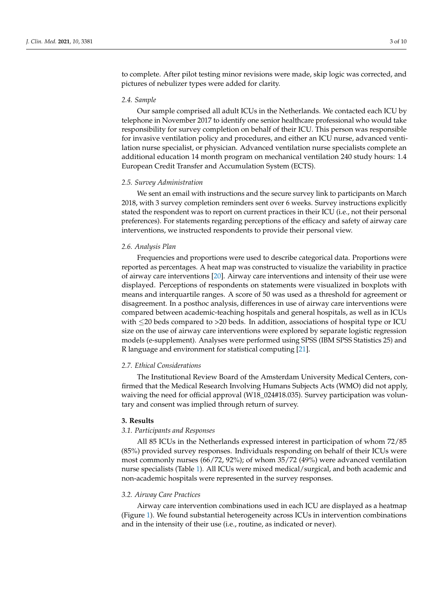to complete. After pilot testing minor revisions were made, skip logic was corrected, and pictures of nebulizer types were added for clarity.

### *2.4. Sample*

Our sample comprised all adult ICUs in the Netherlands. We contacted each ICU by telephone in November 2017 to identify one senior healthcare professional who would take responsibility for survey completion on behalf of their ICU. This person was responsible for invasive ventilation policy and procedures, and either an ICU nurse, advanced ventilation nurse specialist, or physician. Advanced ventilation nurse specialists complete an additional education 14 month program on mechanical ventilation 240 study hours: 1.4 European Credit Transfer and Accumulation System (ECTS).

## *2.5. Survey Administration*

We sent an email with instructions and the secure survey link to participants on March 2018, with 3 survey completion reminders sent over 6 weeks. Survey instructions explicitly stated the respondent was to report on current practices in their ICU (i.e., not their personal preferences). For statements regarding perceptions of the efficacy and safety of airway care interventions, we instructed respondents to provide their personal view.

## *2.6. Analysis Plan*

Frequencies and proportions were used to describe categorical data. Proportions were reported as percentages. A heat map was constructed to visualize the variability in practice of airway care interventions [\[20\]](#page-10-5). Airway care interventions and intensity of their use were displayed. Perceptions of respondents on statements were visualized in boxplots with means and interquartile ranges. A score of 50 was used as a threshold for agreement or disagreement. In a posthoc analysis, differences in use of airway care interventions were compared between academic-teaching hospitals and general hospitals, as well as in ICUs with  $\leq$ 20 beds compared to >20 beds. In addition, associations of hospital type or ICU size on the use of airway care interventions were explored by separate logistic regression models (e-supplement). Analyses were performed using SPSS (IBM SPSS Statistics 25) and R language and environment for statistical computing [\[21\]](#page-10-6).

## *2.7. Ethical Considerations*

The Institutional Review Board of the Amsterdam University Medical Centers, confirmed that the Medical Research Involving Humans Subjects Acts (WMO) did not apply, waiving the need for official approval (W18\_024#18.035). Survey participation was voluntary and consent was implied through return of survey.

### **3. Results**

### *3.1. Participants and Responses*

All 85 ICUs in the Netherlands expressed interest in participation of whom 72/85 (85%) provided survey responses. Individuals responding on behalf of their ICUs were most commonly nurses (66/72, 92%); of whom 35/72 (49%) were advanced ventilation nurse specialists (Table [1\)](#page-4-0). All ICUs were mixed medical/surgical, and both academic and non-academic hospitals were represented in the survey responses.

### *3.2. Airway Care Practices*

Airway care intervention combinations used in each ICU are displayed as a heatmap (Figure [1\)](#page-4-1). We found substantial heterogeneity across ICUs in intervention combinations and in the intensity of their use (i.e., routine, as indicated or never).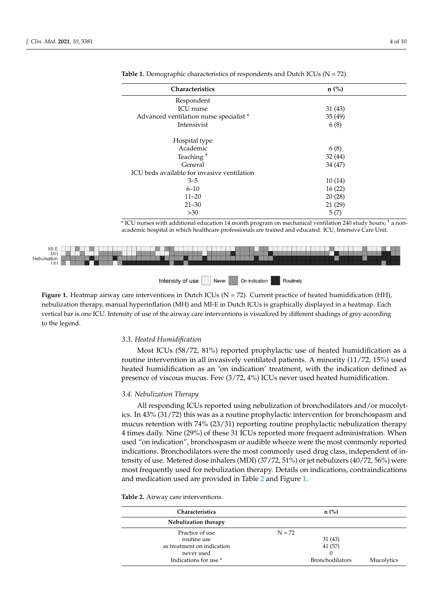| Characteristics                             | $n$ (%) |  |
|---------------------------------------------|---------|--|
| Respondent                                  |         |  |
| <b>ICU</b> nurse                            | 31(43)  |  |
| Advanced ventilation nurse specialist *     | 35(49)  |  |
| Intensivist                                 | 6(8)    |  |
| Hospital type                               |         |  |
| Academic                                    | 6(8)    |  |
| Teaching <sup>+</sup>                       | 32(44)  |  |
| General                                     | 34 (47) |  |
| ICU beds available for invasive ventilation |         |  |
| $3 - 5$                                     | 10(14)  |  |
| $6 - 10$                                    | 16(22)  |  |
| $11 - 20$                                   | 20(28)  |  |
| $21 - 30$                                   | 21(29)  |  |
| $>30$                                       | 5(7)    |  |

<span id="page-4-0"></span>**Table 1.** Demographic characteristics of respondents and Dutch ICUs (N = 72). Teaching † 32 (44)  $G(x) = \frac{1}{2}$ 

Hospital type

\* ICU nurses with additional education 14 month program on mechanical ventilation 240 study hours; † a nonacademic hospital in which healthcare professionals are trained and educated. ICU, Intensive Care Unit.

<span id="page-4-1"></span>

Figure 1 $\frac{H}{\sqrt{2}}$ . The actual terms of the airway care interventions is visualized by different chadings of gave according vertical bar is one ICU. Intensity of use of the airway care interventions is visualized by different shadings of grey according one icu. Intensity of use of the aircraft shadings interventions is visually different shading to the aircraft **Figure 1.** Heatmap airway care interventions in Dutch ICUs (N = 72). Current practice of heated humidification (HH), nebulization therapy, manual hyperinflation (MH) and MI-E in Dutch ICUs is graphically displayed in a heatmap. Each to the legend.

## *3.3. Heated Humidification*

*3.3. Heated Humidification*  Most ICUs (58/72, 81%) reported prophylactic use of heated humidification as a heated humidification as an 'on indication' treatment, with the indication defined as  $\frac{1}{2}$ tine intervention in all  $\sigma$  in all intervention in all intervention  $\sigma$  minority (11/72, 15%) if  $\sigma$  and  $\sigma$  heated heated heated intervention presence of viscous mucus. Few  $(3/72, 4\%)$  ICUs never used heated humidification. routine intervention in all invasively ventilated patients. A minority (11/72, 15%) used

## 3.4. Nebulization Therapy

*3.4. Nebulization Therapy* ics. In 43% (31/72) this was as a routine prophylactic intervention for bronchospasm and mucus retention with 74% (23/31) reporting routine prophylactic nebulization therapy 4 times daily. Nine (29%) of these 31 ICUs reported more frequent administration. When used "on indication", bronchospasm or audible wheeze were the most commonly reported indications. Bronchodilators were the most commonly used drug class, independent of intensity of use. Metered dose inhalers (MDI) (37/72, 51%) or jet nebulizers (40/72, 56%) were All responding ICUs reported using nebulization of bronchodilators and/or mucolytmost frequently used for nebulization therapy. Details on indications, contraindications and medication used are provided in Table [2](#page-5-0) and Figure [1.](#page-4-1)

**Table 2.** Airway care interventions.

| <b>Characteristics</b>     | $n$ (%)                |            |
|----------------------------|------------------------|------------|
| Nebulization therapy       |                        |            |
| Practice of use            | $N = 72$               |            |
| routine use                | 31(43)                 |            |
| as treatment on indication | 41 (57)                |            |
| never used                 |                        |            |
| Indications for use *      | <b>Bronchodilators</b> | Mucolytics |
|                            |                        |            |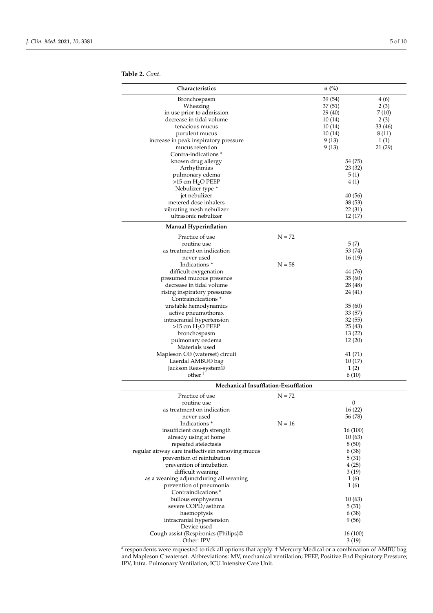<span id="page-5-0"></span>**Table 2.** *Cont.*

| Characteristics                                                                |          | $n$ (%)           |               |
|--------------------------------------------------------------------------------|----------|-------------------|---------------|
|                                                                                |          |                   |               |
| Bronchospasm                                                                   |          | 39 (54)           | 4 (6)         |
| Wheezing<br>in use prior to admission                                          |          | 37(51)<br>29 (40) | 2(3)<br>7(10) |
| decrease in tidal volume                                                       |          | 10(14)            | 2(3)          |
| tenacious mucus                                                                |          | 10(14)            | 33 (46)       |
| purulent mucus                                                                 |          | 10(14)            | 8 (11)        |
| increase in peak inspiratory pressure                                          |          | 9(13)             | 1(1)          |
| mucus retention                                                                |          | 9(13)             | 21 (29)       |
| Contra-indications <sup>*</sup>                                                |          |                   |               |
| known drug allergy                                                             |          | 54 (75)           |               |
| Arrhythmias                                                                    |          | 23 (32)           |               |
| pulmonary edema                                                                |          | 5(1)              |               |
| $>15$ cm $H2O$ PEEP<br>Nebulizer type *                                        |          | 4(1)              |               |
| jet nebulizer                                                                  |          | 40(56)            |               |
| metered dose inhalers                                                          |          | 38(53)            |               |
| vibrating mesh nebulizer                                                       |          | 22(31)            |               |
| ultrasonic nebulizer                                                           |          | 12(17)            |               |
| <b>Manual Hyperinflation</b>                                                   |          |                   |               |
| Practice of use                                                                | $N = 72$ |                   |               |
| routine use                                                                    |          | 5(7)              |               |
| as treatment on indication                                                     |          | 53 (74)           |               |
| never used                                                                     |          | 16(19)            |               |
| Indications <sup>*</sup>                                                       | $N = 58$ |                   |               |
| difficult oxygenation                                                          |          | 44 (76)           |               |
| presumed mucous presence<br>decrease in tidal volume                           |          | 35(60)<br>28 (48) |               |
| rising inspiratory pressures                                                   |          | 24(41)            |               |
| Contraindications <sup>*</sup>                                                 |          |                   |               |
| unstable hemodynamics                                                          |          | 35(60)            |               |
| active pneumothorax                                                            |          | 33(57)            |               |
| intracranial hypertension                                                      |          | 32(55)            |               |
| $>15$ cm $H2O$ PEEP                                                            |          | 25(43)            |               |
| bronchospasm                                                                   |          | 13(22)            |               |
| pulmonary oedema                                                               |          | 12(20)            |               |
| Materials used                                                                 |          |                   |               |
| Mapleson C© (waterset) circuit                                                 |          | 41(71)            |               |
| Laerdal AMBU© bag<br>Jackson Rees-system <sup>©</sup>                          |          | 10(17)<br>1(2)    |               |
| other <sup>+</sup>                                                             |          | 6(10)             |               |
| Mechanical Insufflation-Exsufflation                                           |          |                   |               |
| Practice of use                                                                | $N = 72$ |                   |               |
| routine use                                                                    |          | $\mathbf{0}$      |               |
| as treatment on indication                                                     |          | 16(22)            |               |
| never used                                                                     |          | 56 (78)           |               |
| Indications <sup>*</sup>                                                       | $N = 16$ |                   |               |
| insufficient cough strength                                                    |          | 16 (100)          |               |
| already using at home                                                          |          | 10(63)            |               |
| repeated atelectasis                                                           |          | 8(50)             |               |
| regular airway care ineffectivein removing mucus<br>prevention of reintubation |          | 6(38)<br>5(31)    |               |
| prevention of intubation                                                       |          | 4(25)             |               |
| difficult weaning                                                              |          | 3(19)             |               |
| as a weaning adjunctduring all weaning                                         |          | 1(6)              |               |
| prevention of pneumonia                                                        |          | 1(6)              |               |
| Contraindications <sup>*</sup>                                                 |          |                   |               |
| bullous emphysema                                                              |          | 10(63)            |               |
| severe COPD/asthma                                                             |          | 5(31)             |               |
| haemoptysis                                                                    |          | 6 (38)            |               |
| intracranial hypertension<br>Device used                                       |          | 9 (56)            |               |
| Cough assist (Respironics (Philips)©                                           |          | 16 (100)          |               |
| Other: IPV                                                                     |          | 3(19)             |               |
|                                                                                |          |                   |               |

\* respondents were requested to tick all options that apply. † Mercury Medical or a combination of AMBU bag and Mapleson C waterset. Abbreviations: MV, mechanical ventilation; PEEP, Positive End Expiratory Pressure; IPV, Intra. Pulmonary Ventilation; ICU Intensive Care Unit.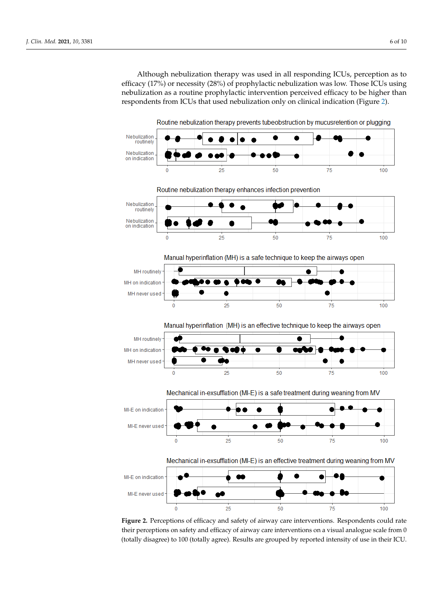Although nebulization therapy was used in all responding ICUs, perception as to efficacy (17%) or necessity (28%) of prophylactic nebulization was low. Those ICUs using nebulization as a routine prophylactic intervention perceived efficacy to be higher than respondents from ICUs that used nebulization only on clinical indication (Figure [2\)](#page-6-0).

<span id="page-6-0"></span>

their perceptions on safety and efficacy of airway care interventions on a visual analogue scale from 0 (totally disagree) to 100 (totally agree). Results are grouped by reported intensity of use in their ICU. **Figure 2.** Perceptions of efficacy and safety of airway care interventions. Respondents could rate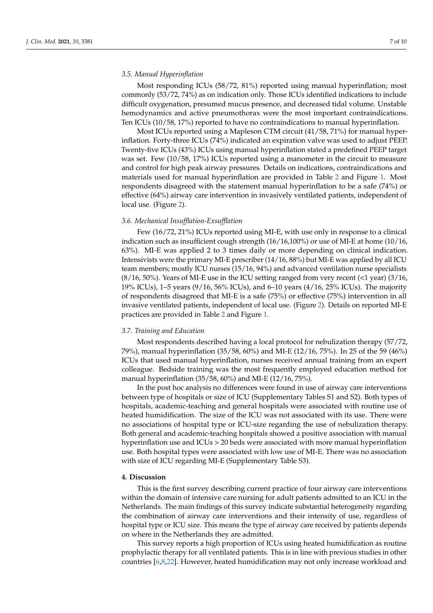## *3.5. Manual Hyperinflation*

Most responding ICUs (58/72, 81%) reported using manual hyperinflation; most commonly (53/72, 74%) as on indication only. Those ICUs identified indications to include difficult oxygenation, presumed mucus presence, and decreased tidal volume. Unstable hemodynamics and active pneumothorax were the most important contraindications. Ten ICUs (10/58, 17%) reported to have no contraindications to manual hyperinflation.

Most ICUs reported using a Mapleson CTM circuit (41/58, 71%) for manual hyperinflation. Forty-three ICUs (74%) indicated an expiration valve was used to adjust PEEP. Twenty-five ICUs (43%) ICUs using manual hyperinflation stated a predefined PEEP target was set. Few (10/58, 17%) ICUs reported using a manometer in the circuit to measure and control for high peak airway pressures. Details on indications, contraindications and materials used for manual hyperinflation are provided in Table [2](#page-5-0) and Figure [1.](#page-4-1) Most respondents disagreed with the statement manual hyperinflation to be a safe (74%) or effective (64%) airway care intervention in invasively ventilated patients, independent of local use. (Figure [2\)](#page-6-0).

## *3.6. Mechanical Insufflation-Exsufflation*

Few (16/72, 21%) ICUs reported using MI-E, with use only in response to a clinical indication such as insufficient cough strength (16/16,100%) or use of MI-E at home (10/16, 63%). MI-E was applied 2 to 3 times daily or more depending on clinical indication. Intensivists were the primary MI-E prescriber (14/16, 88%) but MI-E was applied by all ICU team members; mostly ICU nurses (15/16, 94%) and advanced ventilation nurse specialists  $(8/16, 50\%)$ . Years of MI-E use in the ICU setting ranged from very recent (<1 year) (3/16, 19% ICUs), 1–5 years (9/16, 56% ICUs), and 6–10 years (4/16, 25% ICUs). The majority of respondents disagreed that MI-E is a safe (75%) or effective (75%) intervention in all invasive ventilated patients, independent of local use. (Figure [2\)](#page-6-0). Details on reported MI-E practices are provided in Table [2](#page-5-0) and Figure [1.](#page-4-1)

## *3.7. Training and Education*

Most respondents described having a local protocol for nebulization therapy (57/72, 79%), manual hyperinflation (35/58, 60%) and MI-E (12/16, 75%). In 25 of the 59 (46%) ICUs that used manual hyperinflation, nurses received annual training from an expert colleague. Bedside training was the most frequently employed education method for manual hyperinflation (35/58, 60%) and MI-E (12/16, 75%).

In the post hoc analysis no differences were found in use of airway care interventions between type of hospitals or size of ICU (Supplementary Tables S1 and S2). Both types of hospitals, academic-teaching and general hospitals were associated with routine use of heated humidification. The size of the ICU was not associated with its use. There were no associations of hospital type or ICU-size regarding the use of nebulization therapy. Both general and academic-teaching hospitals showed a positive association with manual hyperinflation use and ICUs > 20 beds were associated with more manual hyperinflation use. Both hospital types were associated with low use of MI-E. There was no association with size of ICU regarding MI-E (Supplementary Table S3).

### **4. Discussion**

This is the first survey describing current practice of four airway care interventions within the domain of intensive care nursing for adult patients admitted to an ICU in the Netherlands. The main findings of this survey indicate substantial heterogeneity regarding the combination of airway care interventions and their intensity of use, regardless of hospital type or ICU size. This means the type of airway care received by patients depends on where in the Netherlands they are admitted.

This survey reports a high proportion of ICUs using heated humidification as routine prophylactic therapy for all ventilated patients. This is in line with previous studies in other countries [\[6](#page-9-12)[,8,](#page-9-6)[22\]](#page-10-7). However, heated humidification may not only increase workload and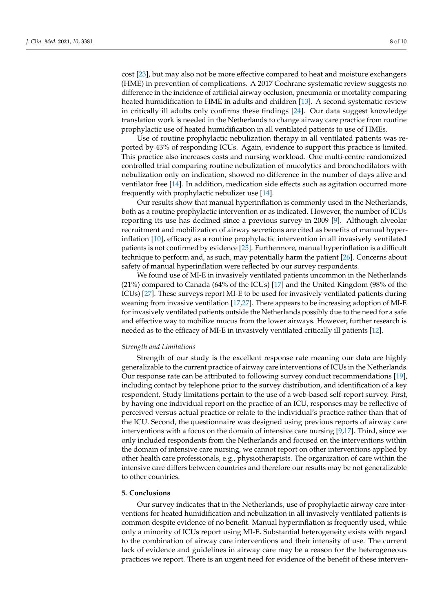cost [\[23\]](#page-10-8), but may also not be more effective compared to heat and moisture exchangers (HME) in prevention of complications. A 2017 Cochrane systematic review suggests no difference in the incidence of artificial airway occlusion, pneumonia or mortality comparing heated humidification to HME in adults and children [\[13\]](#page-9-13). A second systematic review in critically ill adults only confirms these findings [\[24\]](#page-10-9). Our data suggest knowledge translation work is needed in the Netherlands to change airway care practice from routine prophylactic use of heated humidification in all ventilated patients to use of HMEs.

Use of routine prophylactic nebulization therapy in all ventilated patients was reported by 43% of responding ICUs. Again, evidence to support this practice is limited. This practice also increases costs and nursing workload. One multi-centre randomized controlled trial comparing routine nebulization of mucolytics and bronchodilators with nebulization only on indication, showed no difference in the number of days alive and ventilator free [\[14\]](#page-9-10). In addition, medication side effects such as agitation occurred more frequently with prophylactic nebulizer use [\[14\]](#page-9-10).

Our results show that manual hyperinflation is commonly used in the Netherlands, both as a routine prophylactic intervention or as indicated. However, the number of ICUs reporting its use has declined since a previous survey in 2009 [\[9\]](#page-9-11). Although alveolar recruitment and mobilization of airway secretions are cited as benefits of manual hyperinflation [\[10\]](#page-9-7), efficacy as a routine prophylactic intervention in all invasively ventilated patients is not confirmed by evidence [\[25\]](#page-10-10). Furthermore, manual hyperinflation is a difficult technique to perform and, as such, may potentially harm the patient [\[26\]](#page-10-11). Concerns about safety of manual hyperinflation were reflected by our survey respondents.

We found use of MI-E in invasively ventilated patients uncommon in the Netherlands (21%) compared to Canada (64% of the ICUs) [\[17\]](#page-10-2) and the United Kingdom (98% of the ICUs) [\[27\]](#page-10-12). These surveys report MI-E to be used for invasively ventilated patients during weaning from invasive ventilation [\[17](#page-10-2)[,27\]](#page-10-12). There appears to be increasing adoption of MI-E for invasively ventilated patients outside the Netherlands possibly due to the need for a safe and effective way to mobilize mucus from the lower airways. However, further research is needed as to the efficacy of MI-E in invasively ventilated critically ill patients [\[12\]](#page-9-9).

### *Strength and Limitations*

Strength of our study is the excellent response rate meaning our data are highly generalizable to the current practice of airway care interventions of ICUs in the Netherlands. Our response rate can be attributed to following survey conduct recommendations [\[19\]](#page-10-4), including contact by telephone prior to the survey distribution, and identification of a key respondent. Study limitations pertain to the use of a web-based self-report survey. First, by having one individual report on the practice of an ICU, responses may be reflective of perceived versus actual practice or relate to the individual's practice rather than that of the ICU. Second, the questionnaire was designed using previous reports of airway care interventions with a focus on the domain of intensive care nursing [\[9](#page-9-11)[,17\]](#page-10-2). Third, since we only included respondents from the Netherlands and focused on the interventions within the domain of intensive care nursing, we cannot report on other interventions applied by other health care professionals, e.g., physiotherapists. The organization of care within the intensive care differs between countries and therefore our results may be not generalizable to other countries.

## **5. Conclusions**

Our survey indicates that in the Netherlands, use of prophylactic airway care interventions for heated humidification and nebulization in all invasively ventilated patients is common despite evidence of no benefit. Manual hyperinflation is frequently used, while only a minority of ICUs report using MI-E. Substantial heterogeneity exists with regard to the combination of airway care interventions and their intensity of use. The current lack of evidence and guidelines in airway care may be a reason for the heterogeneous practices we report. There is an urgent need for evidence of the benefit of these interven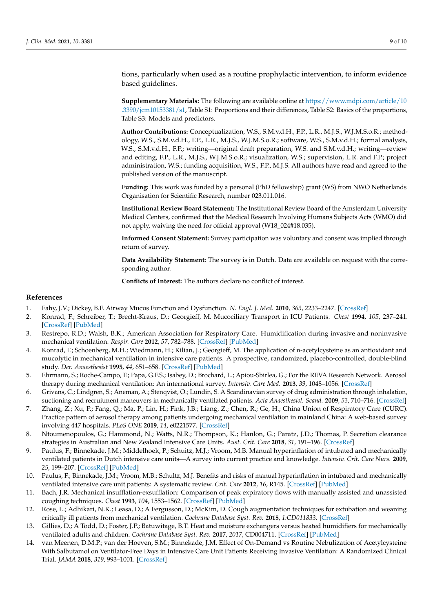tions, particularly when used as a routine prophylactic intervention, to inform evidence based guidelines.

**Supplementary Materials:** The following are available online at [https://www.mdpi.com/article/10](https://www.mdpi.com/article/10.3390/jcm10153381/s1) [.3390/jcm10153381/s1,](https://www.mdpi.com/article/10.3390/jcm10153381/s1) Table S1: Proportions and their differences, Table S2: Basics of the proportions, Table S3: Models and predictors.

**Author Contributions:** Conceptualization, W.S., S.M.v.d.H., F.P., L.R., M.J.S., W.J.M.S.o.R.; methodology, W.S., S.M.v.d.H., F.P., L.R., M.J.S., W.J.M.S.o.R.; software, W.S., S.M.v.d.H.; formal analysis, W.S., S.M.v.d.H., F.P.; writing—original draft preparation, W.S. and S.M.v.d.H.; writing—review and editing, F.P., L.R., M.J.S., W.J.M.S.o.R.; visualization, W.S.; supervision, L.R. and F.P.; project administration, W.S.; funding acquisition, W.S., F.P., M.J.S. All authors have read and agreed to the published version of the manuscript.

**Funding:** This work was funded by a personal (PhD fellowship) grant (WS) from NWO Netherlands Organisation for Scientific Research, number 023.011.016.

**Institutional Review Board Statement:** The Institutional Review Board of the Amsterdam University Medical Centers, confirmed that the Medical Research Involving Humans Subjects Acts (WMO) did not apply, waiving the need for official approval (W18\_024#18.035).

**Informed Consent Statement:** Survey participation was voluntary and consent was implied through return of survey.

**Data Availability Statement:** The survey is in Dutch. Data are available on request with the corresponding author.

**Conflicts of Interest:** The authors declare no conflict of interest.

### **References**

- <span id="page-9-0"></span>1. Fahy, J.V.; Dickey, B.F. Airway Mucus Function and Dysfunction. *N. Engl. J. Med.* **2010**, *363*, 2233–2247. [\[CrossRef\]](http://doi.org/10.1056/NEJMra0910061)
- <span id="page-9-1"></span>2. Konrad, F.; Schreiber, T.; Brecht-Kraus, D.; Georgieff, M. Mucociliary Transport in ICU Patients. *Chest* **1994**, *105*, 237–241. [\[CrossRef\]](http://doi.org/10.1378/chest.105.1.237) [\[PubMed\]](http://www.ncbi.nlm.nih.gov/pubmed/8275739)
- <span id="page-9-2"></span>3. Restrepo, R.D.; Walsh, B.K.; American Association for Respiratory Care. Humidification during invasive and noninvasive mechanical ventilation. *Respir. Care* **2012**, *57*, 782–788. [\[CrossRef\]](http://doi.org/10.4187/respcare.01766) [\[PubMed\]](http://www.ncbi.nlm.nih.gov/pubmed/22546299)
- <span id="page-9-3"></span>4. Konrad, F.; Schoenberg, M.H.; Wiedmann, H.; Kilian, J.; Georgieff, M. The application of n-acetylcysteine as an antioxidant and mucolytic in mechanical ventilation in intensive care patients. A prospective, randomized, placebo-controlled, double-blind study. *Der. Anaesthesist* **1995**, *44*, 651–658. [\[CrossRef\]](http://doi.org/10.1007/s001010050200) [\[PubMed\]](http://www.ncbi.nlm.nih.gov/pubmed/7485927)
- <span id="page-9-4"></span>5. Ehrmann, S.; Roche-Campo, F.; Papa, G.F.S.; Isabey, D.; Brochard, L.; Apiou-Sbirlea, G.; For the REVA Research Network. Aerosol therapy during mechanical ventilation: An international survey. *Intensiv. Care Med.* **2013**, *39*, 1048–1056. [\[CrossRef\]](http://doi.org/10.1007/s00134-013-2872-5)
- <span id="page-9-12"></span>6. Grivans, C.; Lindgren, S.; Aneman, A.; Stenqvist, O.; Lundin, S. A Scandinavian survey of drug administration through inhalation, suctioning and recruitment maneuvers in mechanically ventilated patients. *Acta Anaesthesiol. Scand.* **2009**, *53*, 710–716. [\[CrossRef\]](http://doi.org/10.1111/j.1399-6576.2009.01957.x)
- <span id="page-9-5"></span>7. Zhang, Z.; Xu, P.; Fang, Q.; Ma, P.; Lin, H.; Fink, J.B.; Liang, Z.; Chen, R.; Ge, H.; China Union of Respiratory Care (CURC). Practice pattern of aerosol therapy among patients undergoing mechanical ventilation in mainland China: A web-based survey involving 447 hospitals. *PLoS ONE* **2019**, *14*, e0221577. [\[CrossRef\]](http://doi.org/10.1371/journal.pone.0221577)
- <span id="page-9-6"></span>8. Ntoumenopoulos, G.; Hammond, N.; Watts, N.R.; Thompson, K.; Hanlon, G.; Paratz, J.D.; Thomas, P. Secretion clearance strategies in Australian and New Zealand Intensive Care Units. *Aust. Crit. Care* **2018**, *31*, 191–196. [\[CrossRef\]](http://doi.org/10.1016/j.aucc.2017.06.002)
- <span id="page-9-11"></span>9. Paulus, F.; Binnekade, J.M.; Middelhoek, P.; Schuitz, M.J.; Vroom, M.B. Manual hyperinflation of intubated and mechanically ventilated patients in Dutch intensive care units—A survey into current practice and knowledge. *Intensiv. Crit. Care Nurs.* **2009**, *25*, 199–207. [\[CrossRef\]](http://doi.org/10.1016/j.iccn.2009.04.003) [\[PubMed\]](http://www.ncbi.nlm.nih.gov/pubmed/19477647)
- <span id="page-9-7"></span>10. Paulus, F.; Binnekade, J.M.; Vroom, M.B.; Schultz, M.J. Benefits and risks of manual hyperinflation in intubated and mechanically ventilated intensive care unit patients: A systematic review. *Crit. Care* **2012**, *16*, R145. [\[CrossRef\]](http://doi.org/10.1186/cc11457) [\[PubMed\]](http://www.ncbi.nlm.nih.gov/pubmed/22863373)
- <span id="page-9-8"></span>11. Bach, J.R. Mechanical insufflation-exsufflation: Comparison of peak expiratory flows with manually assisted and unassisted coughing techniques. *Chest* **1993**, *104*, 1553–1562. [\[CrossRef\]](http://doi.org/10.1378/chest.104.5.1553) [\[PubMed\]](http://www.ncbi.nlm.nih.gov/pubmed/8222823)
- <span id="page-9-9"></span>12. Rose, L.; Adhikari, N.K.; Leasa, D.; A Fergusson, D.; McKim, D. Cough augmentation techniques for extubation and weaning critically ill patients from mechanical ventilation. *Cochrane Database Syst. Rev.* **2015**, *1:CD011833*. [\[CrossRef\]](http://doi.org/10.1002/14651858.cd011833)
- <span id="page-9-13"></span>13. Gillies, D.; A Todd, D.; Foster, J.P.; Batuwitage, B.T. Heat and moisture exchangers versus heated humidifiers for mechanically ventilated adults and children. *Cochrane Database Syst. Rev.* **2017**, *2017*, CD004711. [\[CrossRef\]](http://doi.org/10.1002/14651858.CD004711.pub3) [\[PubMed\]](http://www.ncbi.nlm.nih.gov/pubmed/28905374)
- <span id="page-9-10"></span>14. van Meenen, D.M.P.; van der Hoeven, S.M.; Binnekade, J.M. Effect of On-Demand vs Routine Nebulization of Acetylcysteine With Salbutamol on Ventilator-Free Days in Intensive Care Unit Patients Receiving Invasive Ventilation: A Randomized Clinical Trial. *JAMA* **2018**, *319*, 993–1001. [\[CrossRef\]](http://doi.org/10.1001/jama.2018.0949)